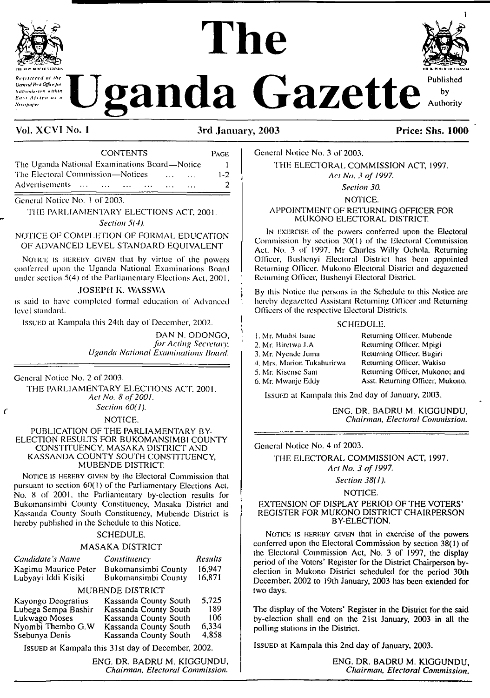

**New spaper** 

# $\frac{1}{2}$  **h Construction Cazette** Published



by Authority

### **Vol. XCV1 No. <sup>1</sup> 3rd January, 2003 Price: Shs. 1000**

| <b>CONTENTS</b>                                                                         | PAGE    |
|-----------------------------------------------------------------------------------------|---------|
| The Uganda National Examinations Board—Notice                                           |         |
| The Electoral Commission—Notices                                                        | $1 - 2$ |
| Advertisements<br><b>Contract Contract Contract</b><br>$\cdots$<br>$\sim$ $\sim$ $\sim$ |         |
|                                                                                         |         |

General Notice No. <sup>1</sup> of 2003.

THE PARLIAMENTARY ELECTIONS ACT, 2001. *Section 5(4).*

#### NOTICE OP COMPLETION OF FORMAL EDUCATION OF ADVANCED LEVEL STANDARD EQUIVALENT

NOTICE IS HEREBY GIVEN that by virtue of the powers conferred upon the Uganda National Examinations Board under section 5(4) of the Parliamentary Elections Act, 2001.

#### **JOSEPH K. WASSWA**

is said to have completed formal education of Advanced level standard.

Issued at Kampala this 24th day of December, 2002.

DAN N. ODONGO, *for Acting Secretary. Uganda National Examinations Hoard.*

General Notice No. 2 of 2003.

 $\epsilon$ 

THE PARLIAMENTARY ELECTIONS ACT, 2001. *Act No. 8 of 2001.*

*Section 60(1).*

NOTICE.

#### PUBLICATION OF THE PARLIAMENTARY BY-ELECTION RESULTS FOR BUKOMANSIMBI COUNTY CONSTITUENCY. MASAKA DISTRICT AND KASSANDA COUNTY SOUTH CONSTITUENCY, MUBENDE DISTRICT.

NOTICE IS HEREBY GIVEN by the Electoral Commission that pursuant to section 60(1) of the Parliamentary Elections Act, No. 8 of 2001. the Parliamentary by-election results for Bukomansimbi County Constituency, Masaka District and Kassanda County South Constituency, Mubcnde District is hereby published in the Schedule to this Notice.

#### SCHEDULE.

#### MASAKA DISTRICT

| Candidate's Name                                 | Constituency          | Results |  |
|--------------------------------------------------|-----------------------|---------|--|
| Kagimu Maurice Peter                             | Bukomansimbi County   | 16.947  |  |
| Lubyayi Iddi Kisiki                              | Bukomansimbi County   | 16.871  |  |
| MUBENDE DISTRICT                                 |                       |         |  |
| Kayongo Deogratius                               | Kassanda County South | 5.725   |  |
| Lubega Sempa Bashir                              | Kassanda County South | 189     |  |
| Lukwago Moses                                    | Kassanda County South | 106     |  |
| Nyombi Thembo G.W                                | Kassanda County South | 6.334   |  |
| Ssebunya Denis                                   | Kassanda County South | 4.858   |  |
| Lesurn at Kampala this 31st day of December 2002 |                       |         |  |

Issued at Kampala this 31st day of December, 2002.

ENG. DR. BADRU M. KIGGUNDU, *Chairman, Electoral Commission.* General Notice No. 3 of 2003.

THE ELECTORAL COMMISSION ACT, 1997. *Act No. 3 of 1997.*

*Section 30.*

NOTICE.

#### APPOINTMENT OF RETURNING OFFICER FOR MUKONO ELECTORAL DISTRICT.

I<sup>n</sup> exercise of the powers conferred upon the Electoral Commission by section 30(1) of the Electoral Commission Act, No. 3 of 1997, Mr Charles Willy Ochola. Returning Officer, Bushenyi Electoral District has been appointed Returning Officer. Mukono Electoral District and degazetted Returning Officer, Bushenyi Electoral District.

By this Notice the persons in the Schedule to this Notice are hereby degazetted Assistant Returning Officer and Returning Officers of the respective Electoral Districts.

#### SCHEDULE.

1. Mr. Mudoi Isaac 2. Mr. Biretwa J.A 3. Mr. Nyendc Juma 4. Mrs. Marion Tukahurirwa 5. Mr. Kisense Sam 6. Mr. Mwanje Eddy Returning Officer. Mubcnde Returning Officer. Mpigi Returning Officer. Bugiri Returning Officer, Wakiso Returning Officer, Mukono; and Asst. Returning Officer, Mukono.

Issued at Kampala this 2nd day of January, 2003.

ENG. DR. BADRU M. KIGGUNDU, *Chairman. Electoral Commission.*

General Notice No. 4 of 2003.

THE ELECTORAL COMMISSION ACT, 1997. *Act No. 3 of 1997.*

*Section 38(I).*

#### NOTICE.

#### EXTENSION OF DISPLAY PERIOD OF THE VOTERS' REGISTER FOR MUKONO DISTRICT CHAIRPERSON BY-ELECTION.

NOTICE IS HEREBY GIVEN that in exercise of the powers conferred upon the Electoral Commission by section 38(1) of the Electoral Commission Act, No. 3 of 1997, the display period of the Voters' Register for the District Chairperson byelection in Mukono District scheduled for the period 30lh December, 2002 to 19th January, 2003 has been extended for two days.

The display of the Voters' Register in the District for the said by-election shall end on the 21st January, 2003 in all the polling stations in the District.

ISSUED at Kampala this 2nd day of January, 2003.

ENG. DR. BADRU M. KIGGUNDU, *Chairman, Electoral Commission.*